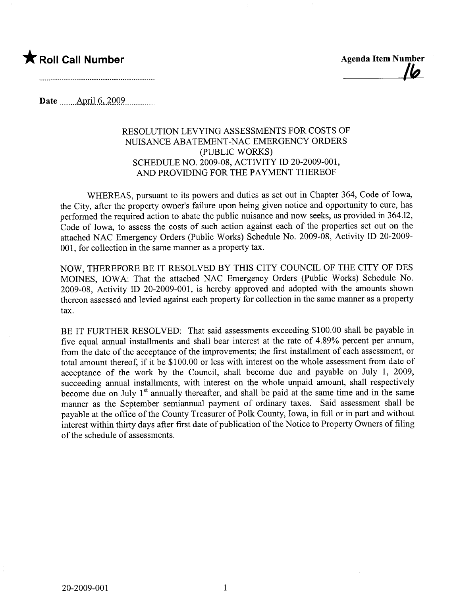## \* Roll Call Number Agenda Item Number

<u>|6</u>

Date .\_\_... \_\_ARriJ. .9.. )QQ9...............

## RESOLUTION LEVYING ASSESSMENTS FOR COSTS OF NUISANCE ABATEMENT-NAC EMERGENCY ORDERS (PUBLIC WORKS) SCHEDULE NO. 2009-08, ACTIVITY ID 20-2009-001, AND PROVIDING FOR THE PAYMENT THEREOF

WHEREAS, pursuant to its powers and duties as set out in Chapter 364, Code of Iowa, the City, after the property owner's failure upon being given notice and opportunity to cure, has performed the required action to abate the public nuisance and now seeks, as provided in 364.12, Code of Iowa, to assess the costs of such action against each of the properties set out on the attached NAC Emergency Orders (Public Works) Schedule No. 2009-08, Activity ID 20-2009-001, for collection in the same manner as a property tax.

NOW, THEREFORE BE IT RESOLVED BY THIS CITY COUNCIL OF THE CITY OF DES MOINS, IOWA: That the attached NAC Emergency Orders (Public Works) Schedule No. 2009-08, Activity ID 20-2009-001, is hereby approved and adopted with the amounts shown thereon assessed and levied against each property for collection in the same manner as a property tax.

BE IT FURTHER RESOLVED: That said assessments exceeding \$100.00 shall be payable in five equal annual installments and shall bear interest at the rate of 4.89% percent per anum, from the date of the acceptance of the improvements; the first installment of each assessment, or total amount thereof, if it be \$100.00 or less with interest on the whole assessment from date of acceptance of the work by the Council, shall become due and payable on July 1, 2009, succeeding annual installments, with interest on the whole unpaid amount, shall respectively become due on July  $1<sup>st</sup>$  annually thereafter, and shall be paid at the same time and in the same manner as the September semiannual payment of ordinary taxes. Said assessment shall be payable at the offce of the County Treasurer of Polk County, Iowa, in full or in part and without interest within thirty days after first date of publication of the Notice to Property Owners of filing of the schedule of assessments.